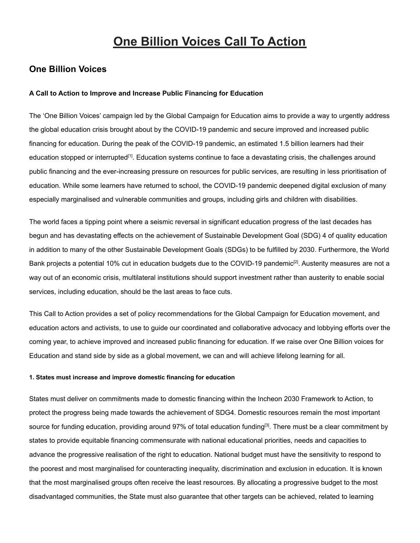# **One Billion Voices Call To Action**

#### **One Billion Voices**

#### **A Call to Action to Improve and Increase Public Financing for Education**

The 'One Billion Voices' campaign led by the Global Campaign for Education aims to provide a way to urgently address the global education crisis brought about by the COVID-19 pandemic and secure improved and increased public financing for education. During the peak of the COVID-19 pandemic, an estimated 1.5 billion learners had their education stopped or interrupted<sup>[1]</sup>. Education systems continue to face a devastating crisis, the challenges around public financing and the ever-increasing pressure on resources for public services, are resulting in less prioritisation of education. While some learners have returned to school, the COVID-19 pandemic deepened digital exclusion of many especially marginalised and vulnerable communities and groups, including girls and children with disabilities.

The world faces a tipping point where a seismic reversal in significant education progress of the last decades has begun and has devastating effects on the achievement of Sustainable Development Goal (SDG) 4 of quality education in addition to many of the other Sustainable Development Goals (SDGs) to be fulfilled by 2030. Furthermore, the World Bank projects a potential 10% cut in education budgets due to the COVID-19 pandemic<sup>[2]</sup>. Austerity measures are not a way out of an economic crisis, multilateral institutions should support investment rather than austerity to enable social services, including education, should be the last areas to face cuts.

This Call to Action provides a set of policy recommendations for the Global Campaign for Education movement, and education actors and activists, to use to guide our coordinated and collaborative advocacy and lobbying efforts over the coming year, to achieve improved and increased public financing for education. If we raise over One Billion voices for Education and stand side by side as a global movement, we can and will achieve lifelong learning for all.

#### **1. States must increase and improve domestic financing for education**

States must deliver on commitments made to domestic financing within the Incheon 2030 Framework to Action, to protect the progress being made towards the achievement of SDG4. Domestic resources remain the most important source for funding education, providing around 97% of total education funding<sup>[3]</sup>. There must be a clear commitment by states to provide equitable financing commensurate with national educational priorities, needs and capacities to advance the progressive realisation of the right to education. National budget must have the sensitivity to respond to the poorest and most marginalised for counteracting inequality, discrimination and exclusion in education. It is known that the most marginalised groups often receive the least resources. By allocating a progressive budget to the most disadvantaged communities, the State must also guarantee that other targets can be achieved, related to learning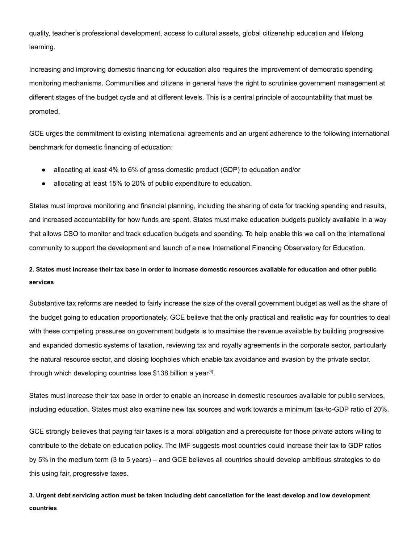quality, teacher's professional development, access to cultural assets, global citizenship education and lifelong learning.

Increasing and improving domestic financing for education also requires the improvement of democratic spending monitoring mechanisms. Communities and citizens in general have the right to scrutinise government management at different stages of the budget cycle and at different levels. This is a central principle of accountability that must be promoted.

GCE urges the commitment to existing international agreements and an urgent adherence to the following international benchmark for domestic financing of education:

- allocating at least 4% to 6% of gross domestic product (GDP) to education and/or
- allocating at least 15% to 20% of public expenditure to education.

States must improve monitoring and financial planning, including the sharing of data for tracking spending and results, and increased accountability for how funds are spent. States must make education budgets publicly available in a way that allows CSO to monitor and track education budgets and spending. To help enable this we call on the international community to support the development and launch of a new International Financing Observatory for Education.

### **2. States must increase their tax base in order to increase domestic resources available for education and other public services**

Substantive tax reforms are needed to fairly increase the size of the overall government budget as well as the share of the budget going to education proportionately. GCE believe that the only practical and realistic way for countries to deal with these competing pressures on government budgets is to maximise the revenue available by building progressive and expanded domestic systems of taxation, reviewing tax and royalty agreements in the corporate sector, particularly the natural resource sector, and closing loopholes which enable tax avoidance and evasion by the private sector, through which developing countries lose \$138 billion a year<sup>[4]</sup>.

States must increase their tax base in order to enable an increase in domestic resources available for public services, including education. States must also examine new tax sources and work towards a minimum tax-to-GDP ratio of 20%.

GCE strongly believes that paying fair taxes is a moral obligation and a prerequisite for those private actors willing to contribute to the debate on education policy. The IMF suggests most countries could increase their tax to GDP ratios by 5% in the medium term (3 to 5 years) – and GCE believes all countries should develop ambitious strategies to do this using fair, progressive taxes.

**3. Urgent debt servicing action must be taken including debt cancellation for the least develop and low development countries**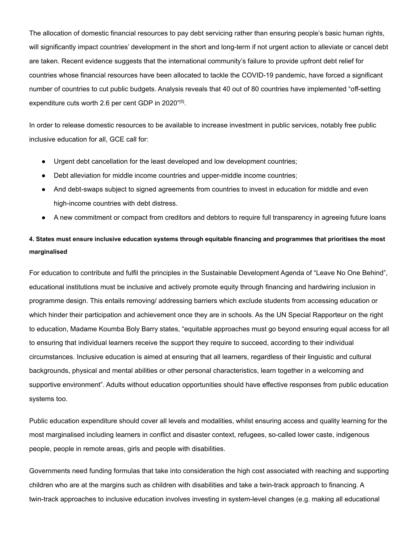The allocation of domestic financial resources to pay debt servicing rather than ensuring people's basic human rights, will significantly impact countries' development in the short and long-term if not urgent action to alleviate or cancel debt are taken. Recent evidence suggests that the international community's failure to provide upfront debt relief for countries whose financial resources have been allocated to tackle the COVID-19 pandemic, have forced a significant number of countries to cut public budgets. Analysis reveals that 40 out of 80 countries have implemented "off-setting expenditure cuts worth 2.6 per cent GDP in 2020"[5].

In order to release domestic resources to be available to increase investment in public services, notably free public inclusive education for all, GCE call for:

- Urgent debt cancellation for the least developed and low development countries;
- Debt alleviation for middle income countries and upper-middle income countries;
- And debt-swaps subject to signed agreements from countries to invest in education for middle and even high-income countries with debt distress.
- A new commitment or compact from creditors and debtors to require full transparency in agreeing future loans

## **4. States must ensure inclusive education systems through equitable financing and programmes that prioritises the most marginalised**

For education to contribute and fulfil the principles in the Sustainable Development Agenda of "Leave No One Behind", educational institutions must be inclusive and actively promote equity through financing and hardwiring inclusion in programme design. This entails removing/ addressing barriers which exclude students from accessing education or which hinder their participation and achievement once they are in schools. As the UN Special Rapporteur on the right to education, Madame Koumba Boly Barry states, "equitable approaches must go beyond ensuring equal access for all to ensuring that individual learners receive the support they require to succeed, according to their individual circumstances. Inclusive education is aimed at ensuring that all learners, regardless of their linguistic and cultural backgrounds, physical and mental abilities or other personal characteristics, learn together in a welcoming and supportive environment". Adults without education opportunities should have effective responses from public education systems too.

Public education expenditure should cover all levels and modalities, whilst ensuring access and quality learning for the most marginalised including learners in conflict and disaster context, refugees, so-called lower caste, indigenous people, people in remote areas, girls and people with disabilities.

Governments need funding formulas that take into consideration the high cost associated with reaching and supporting children who are at the margins such as children with disabilities and take a twin-track approach to financing. A twin-track approaches to inclusive education involves investing in system-level changes (e.g. making all educational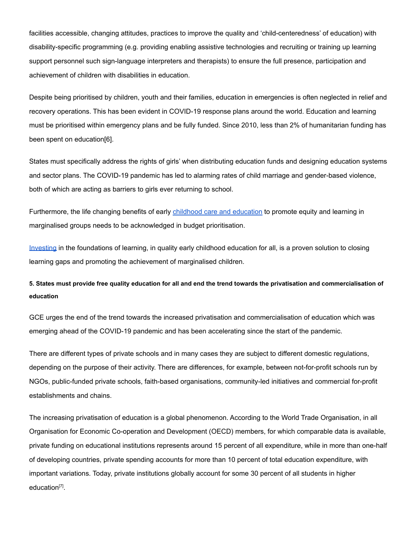facilities accessible, changing attitudes, practices to improve the quality and 'child-centeredness' of education) with disability-specific programming (e.g. providing enabling assistive technologies and recruiting or training up learning support personnel such sign-language interpreters and therapists) to ensure the full presence, participation and achievement of children with disabilities in education.

Despite being prioritised by children, youth and their families, education in emergencies is often neglected in relief and recovery operations. This has been evident in COVID-19 response plans around the world. Education and learning must be prioritised within emergency plans and be fully funded. Since 2010, less than 2% of humanitarian funding has been spent on education[6].

States must specifically address the rights of girls' when distributing education funds and designing education systems and sector plans. The COVID-19 pandemic has led to alarming rates of child marriage and gender-based violence, both of which are acting as barriers to girls ever returning to school.

Furthermore, the life changing benefits of early childhood care and [education](https://www.unicef.org/media/57986/file/Call-to-Action%20Statement-Early-Childhood-Education-for-All.pdf) to promote equity and learning in marginalised groups needs to be acknowledged in budget prioritisation.

[Investing](https://www.light-for-the-world.org/inclusive-ecd-investment) in the foundations of learning, in quality early childhood education for all, is a proven solution to closing learning gaps and promoting the achievement of marginalised children.

**5. States must provide free quality education for all and end the trend towards the privatisation and commercialisation of education**

GCE urges the end of the trend towards the increased privatisation and commercialisation of education which was emerging ahead of the COVID-19 pandemic and has been accelerating since the start of the pandemic.

There are different types of private schools and in many cases they are subject to different domestic regulations, depending on the purpose of their activity. There are differences, for example, between not-for-profit schools run by NGOs, public-funded private schools, faith-based organisations, community-led initiatives and commercial for-profit establishments and chains.

The increasing privatisation of education is a global phenomenon. According to the World Trade Organisation, in all Organisation for Economic Co-operation and Development (OECD) members, for which comparable data is available, private funding on educational institutions represents around 15 percent of all expenditure, while in more than one-half of developing countries, private spending accounts for more than 10 percent of total education expenditure, with important variations. Today, private institutions globally account for some 30 percent of all students in higher education<sup>[7]</sup>.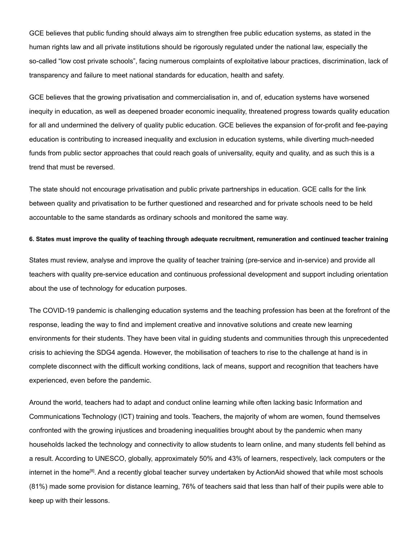GCE believes that public funding should always aim to strengthen free public education systems, as stated in the human rights law and all private institutions should be rigorously regulated under the national law, especially the so-called "low cost private schools", facing numerous complaints of exploitative labour practices, discrimination, lack of transparency and failure to meet national standards for education, health and safety.

GCE believes that the growing privatisation and commercialisation in, and of, education systems have worsened inequity in education, as well as deepened broader economic inequality, threatened progress towards quality education for all and undermined the delivery of quality public education. GCE believes the expansion of for-profit and fee-paying education is contributing to increased inequality and exclusion in education systems, while diverting much-needed funds from public sector approaches that could reach goals of universality, equity and quality, and as such this is a trend that must be reversed.

The state should not encourage privatisation and public private partnerships in education. GCE calls for the link between quality and privatisation to be further questioned and researched and for private schools need to be held accountable to the same standards as ordinary schools and monitored the same way.

#### **6. States must improve the quality of teaching through adequate recruitment, remuneration and continued teacher training**

States must review, analyse and improve the quality of teacher training (pre-service and in-service) and provide all teachers with quality pre-service education and continuous professional development and support including orientation about the use of technology for education purposes.

The COVID-19 pandemic is challenging education systems and the teaching profession has been at the forefront of the response, leading the way to find and implement creative and innovative solutions and create new learning environments for their students. They have been vital in guiding students and communities through this unprecedented crisis to achieving the SDG4 agenda. However, the mobilisation of teachers to rise to the challenge at hand is in complete disconnect with the difficult working conditions, lack of means, support and recognition that teachers have experienced, even before the pandemic.

Around the world, teachers had to adapt and conduct online learning while often lacking basic Information and Communications Technology (ICT) training and tools. Teachers, the majority of whom are women, found themselves confronted with the growing injustices and broadening inequalities brought about by the pandemic when many households lacked the technology and connectivity to allow students to learn online, and many students fell behind as a result. According to UNESCO, globally, approximately 50% and 43% of learners, respectively, lack computers or the internet in the home<sup>[8]</sup>. And a recently global teacher survey undertaken by ActionAid showed that while most schools (81%) made some provision for distance learning, 76% of teachers said that less than half of their pupils were able to keep up with their lessons.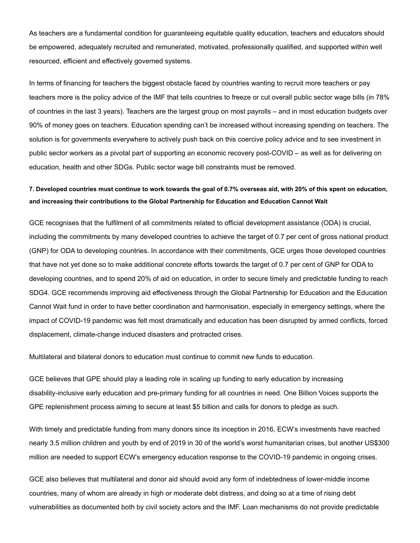As teachers are a fundamental condition for guaranteeing equitable quality education, teachers and educators should be empowered, adequately recruited and remunerated, motivated, professionally qualified, and supported within well resourced, efficient and effectively governed systems.

In terms of financing for teachers the biggest obstacle faced by countries wanting to recruit more teachers or pay teachers more is the policy advice of the IMF that tells countries to freeze or cut overall public sector wage bills (in 78% of countries in the last 3 years). Teachers are the largest group on most payrolls – and in most education budgets over 90% of money goes on teachers. Education spending can't be increased without increasing spending on teachers. The solution is for governments everywhere to actively push back on this coercive policy advice and to see investment in public sector workers as a pivotal part of supporting an economic recovery post-COVID – as well as for delivering on education, health and other SDGs. Public sector wage bill constraints must be removed.

### **7. Developed countries must continue to work towards the goal of 0.7% overseas aid, with 20% of this spent on education, and increasing their contributions to the Global Partnership for Education and Education Cannot Wait**

GCE recognises that the fulfilment of all commitments related to official development assistance (ODA) is crucial, including the commitments by many developed countries to achieve the target of 0.7 per cent of gross national product (GNP) for ODA to developing countries. In accordance with their commitments, GCE urges those developed countries that have not yet done so to make additional concrete efforts towards the target of 0.7 per cent of GNP for ODA to developing countries, and to spend 20% of aid on education, in order to secure timely and predictable funding to reach SDG4. GCE recommends improving aid effectiveness through the Global Partnership for Education and the Education Cannot Wait fund in order to have better coordination and harmonisation, especially in emergency settings, where the impact of COVID-19 pandemic was felt most dramatically and education has been disrupted by armed conflicts, forced displacement, climate-change induced disasters and protracted crises.

Multilateral and bilateral donors to education must continue to commit new funds to education.

GCE believes that GPE should play a leading role in scaling up funding to early education by increasing disability-inclusive early education and pre-primary funding for all countries in need. One Billion Voices supports the GPE replenishment process aiming to secure at least \$5 billion and calls for donors to pledge as such.

With timely and predictable funding from many donors since its inception in 2016, ECW's investments have reached nearly 3.5 million children and youth by end of 2019 in 30 of the world's worst humanitarian crises, but another US\$300 million are needed to support ECW's emergency education response to the COVID-19 pandemic in ongoing crises.

GCE also believes that multilateral and donor aid should avoid any form of indebtedness of lower-middle income countries, many of whom are already in high or moderate debt distress, and doing so at a time of rising debt vulnerabilities as documented both by civil society actors and the IMF. Loan mechanisms do not provide predictable